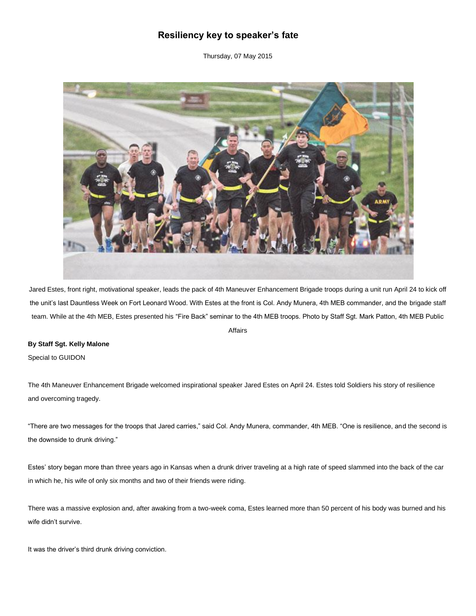## **Resiliency key to speaker's fate**

Thursday, 07 May 2015



Jared Estes, front right, motivational speaker, leads the pack of 4th Maneuver Enhancement Brigade troops during a unit run April 24 to kick off the unit's last Dauntless Week on Fort Leonard Wood. With Estes at the front is Col. Andy Munera, 4th MEB commander, and the brigade staff team. While at the 4th MEB, Estes presented his "Fire Back" seminar to the 4th MEB troops. Photo by Staff Sgt. Mark Patton, 4th MEB Public

## Affairs

## **By Staff Sgt. Kelly Malone**

Special to GUIDON

The 4th Maneuver Enhancement Brigade welcomed inspirational speaker Jared Estes on April 24. Estes told Soldiers his story of resilience and overcoming tragedy.

"There are two messages for the troops that Jared carries," said Col. Andy Munera, commander, 4th MEB. "One is resilience, and the second is the downside to drunk driving."

Estes' story began more than three years ago in Kansas when a drunk driver traveling at a high rate of speed slammed into the back of the car in which he, his wife of only six months and two of their friends were riding.

There was a massive explosion and, after awaking from a two-week coma, Estes learned more than 50 percent of his body was burned and his wife didn't survive.

It was the driver's third drunk driving conviction.